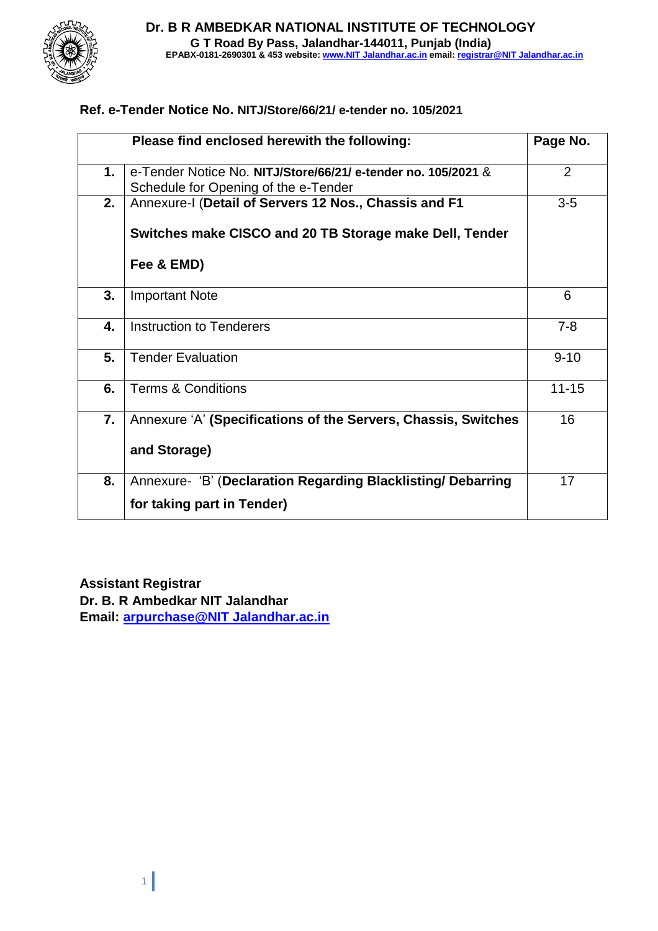

#### **Ref. e-Tender Notice No. NITJ/Store/66/21/ e-tender no. 105/2021**

|    | Please find enclosed herewith the following:                                                          | Page No.       |
|----|-------------------------------------------------------------------------------------------------------|----------------|
| 1. | e-Tender Notice No. NITJ/Store/66/21/ e-tender no. 105/2021 &<br>Schedule for Opening of the e-Tender | $\overline{2}$ |
| 2. | Annexure-I (Detail of Servers 12 Nos., Chassis and F1                                                 | $3-5$          |
|    | Switches make CISCO and 20 TB Storage make Dell, Tender                                               |                |
|    | Fee & EMD)                                                                                            |                |
| 3. | <b>Important Note</b>                                                                                 | 6              |
| 4. | Instruction to Tenderers                                                                              | $7 - 8$        |
| 5. | <b>Tender Evaluation</b>                                                                              | $9 - 10$       |
| 6. | <b>Terms &amp; Conditions</b>                                                                         | $11 - 15$      |
| 7. | Annexure 'A' (Specifications of the Servers, Chassis, Switches                                        | 16             |
|    | and Storage)                                                                                          |                |
| 8. | Annexure- 'B' (Declaration Regarding Blacklisting/ Debarring                                          | 17             |
|    | for taking part in Tender)                                                                            |                |

#### **Assistant Registrar**

**Dr. B. R Ambedkar NIT Jalandhar Email: [arpurchase@NIT Jalandhar.ac.in](mailto:arpurchase@nitj.ac.in)**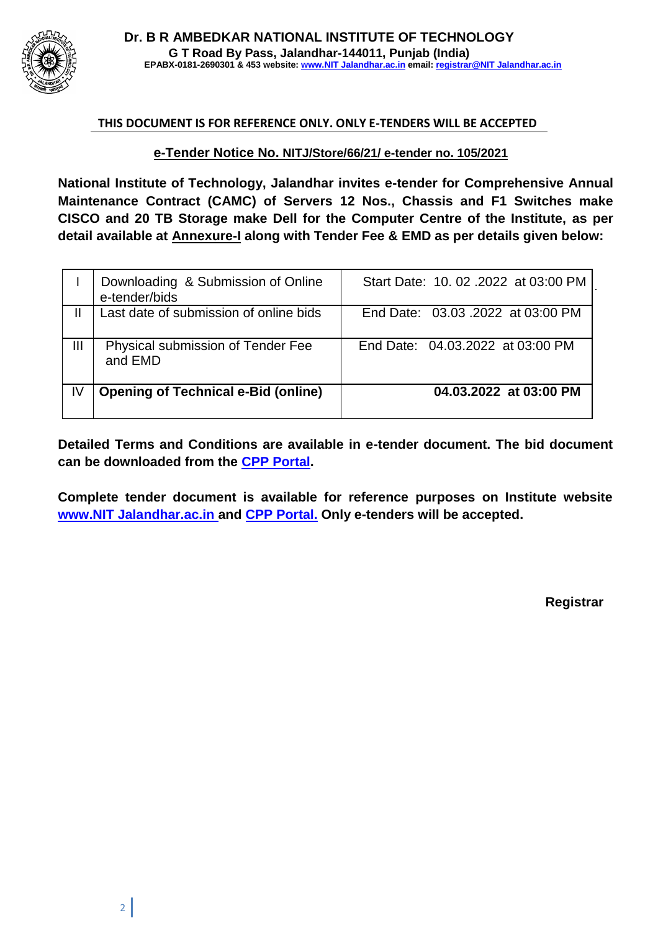

#### **THIS DOCUMENT IS FOR REFERENCE ONLY. ONLY E-TENDERS WILL BE ACCEPTED**

**e-Tender Notice No. NITJ/Store/66/21/ e-tender no. 105/2021**

**National Institute of Technology, Jalandhar invites e-tender for Comprehensive Annual Maintenance Contract (CAMC) of Servers 12 Nos., Chassis and F1 Switches make CISCO and 20 TB Storage make Dell for the Computer Centre of the Institute, as per detail available at Annexure-I along with Tender Fee & EMD as per details given below:**

|    | Downloading & Submission of Online<br>e-tender/bids | Start Date: 10, 02, 2022 at 03:00 PM |
|----|-----------------------------------------------------|--------------------------------------|
|    | Last date of submission of online bids              | End Date: 03.03.2022 at 03:00 PM     |
| Ш  | Physical submission of Tender Fee<br>and EMD        | End Date: 04.03.2022 at 03:00 PM     |
| IV | <b>Opening of Technical e-Bid (online)</b>          | 04.03.2022 at 03:00 PM               |

**Detailed Terms and Conditions are available in e-tender document. The bid document can be downloaded from the CPP Portal.**

**Complete tender document is available for reference purposes on Institute website [www.NIT Jalandhar.ac.in a](http://www.nitj.ac.in/)nd CPP Portal. Only e-tenders will be accepted.**

**Registrar**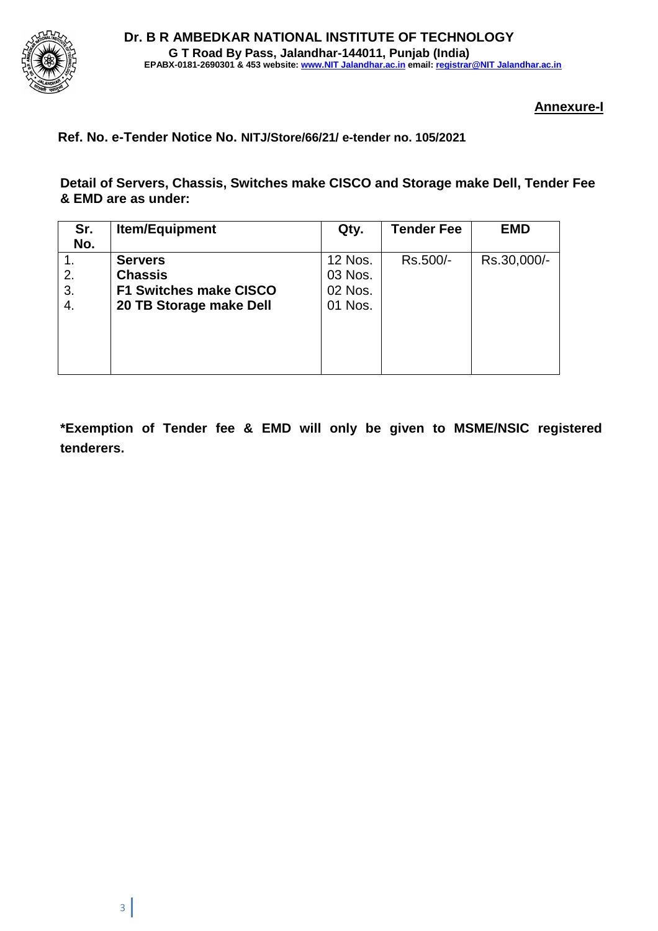

#### **Annexure-I**

#### **Ref. No. e-Tender Notice No. NITJ/Store/66/21/ e-tender no. 105/2021**

**Detail of Servers, Chassis, Switches make CISCO and Storage make Dell, Tender Fee & EMD are as under:**

| Sr. | <b>Item/Equipment</b>         | Qty.           | <b>Tender Fee</b> | <b>EMD</b>  |
|-----|-------------------------------|----------------|-------------------|-------------|
| No. |                               |                |                   |             |
|     | <b>Servers</b>                | <b>12 Nos.</b> | Rs.500/-          | Rs.30,000/- |
| 2.  | <b>Chassis</b>                | 03 Nos.        |                   |             |
| 3.  | <b>F1 Switches make CISCO</b> | 02 Nos.        |                   |             |
| 4.  | 20 TB Storage make Dell       | 01 Nos.        |                   |             |
|     |                               |                |                   |             |
|     |                               |                |                   |             |
|     |                               |                |                   |             |
|     |                               |                |                   |             |

**\*Exemption of Tender fee & EMD will only be given to MSME/NSIC registered tenderers.**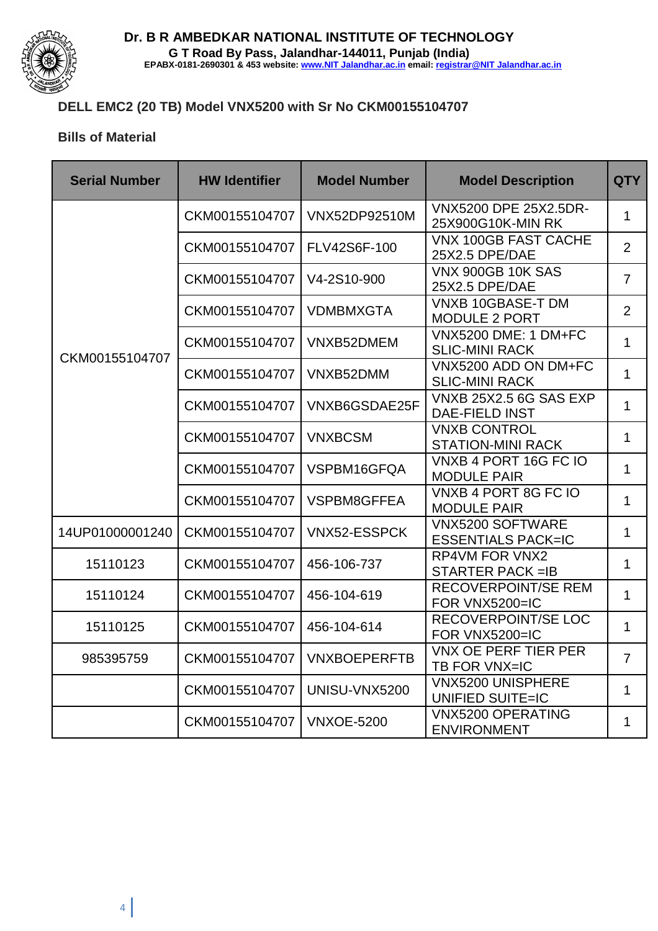

# **DELL EMC2 (20 TB) Model VNX5200 with Sr No CKM00155104707**

#### **Bills of Material**

| <b>Serial Number</b>                              | <b>HW Identifier</b> | <b>Model Number</b>                                                | <b>Model Description</b>                               | <b>QTY</b>     |
|---------------------------------------------------|----------------------|--------------------------------------------------------------------|--------------------------------------------------------|----------------|
|                                                   | CKM00155104707       | VNX5200 DPE 25X2.5DR-<br><b>VNX52DP92510M</b><br>25X900G10K-MIN RK |                                                        | $\mathbf{1}$   |
|                                                   | CKM00155104707       | FLV42S6F-100                                                       | <b>VNX 100GB FAST CACHE</b><br>25X2.5 DPE/DAE          | $\overline{2}$ |
|                                                   | CKM00155104707       | V4-2S10-900                                                        | <b>VNX 900GB 10K SAS</b><br>25X2.5 DPE/DAE             | $\overline{7}$ |
|                                                   | CKM00155104707       | <b>VDMBMXGTA</b>                                                   | <b>VNXB 10GBASE-T DM</b><br><b>MODULE 2 PORT</b>       | $\overline{2}$ |
| CKM00155104707                                    | CKM00155104707       | VNXB52DMEM                                                         | <b>VNX5200 DME: 1 DM+FC</b><br><b>SLIC-MINI RACK</b>   | $\mathbf{1}$   |
|                                                   | CKM00155104707       | VNXB52DMM                                                          | VNX5200 ADD ON DM+FC<br><b>SLIC-MINI RACK</b>          | $\mathbf{1}$   |
|                                                   | CKM00155104707       | VNXB6GSDAE25F                                                      | <b>VNXB 25X2.5 6G SAS EXP</b><br><b>DAE-FIELD INST</b> | $\mathbf{1}$   |
|                                                   | CKM00155104707       | <b>VNXBCSM</b>                                                     | <b>VNXB CONTROL</b><br><b>STATION-MINI RACK</b>        | $\mathbf{1}$   |
|                                                   | CKM00155104707       | VSPBM16GFQA                                                        | VNXB 4 PORT 16G FC IO<br><b>MODULE PAIR</b>            | $\mathbf{1}$   |
|                                                   | CKM00155104707       | <b>VSPBM8GFFEA</b>                                                 | VNXB 4 PORT 8G FC IO<br><b>MODULE PAIR</b>             | $\mathbf{1}$   |
| 14UP01000001240<br>CKM00155104707<br>VNX52-ESSPCK |                      | <b>VNX5200 SOFTWARE</b><br><b>ESSENTIALS PACK=IC</b>               | $\mathbf{1}$                                           |                |
| 15110123                                          | CKM00155104707       | 456-106-737                                                        | <b>RP4VM FOR VNX2</b><br><b>STARTER PACK =IB</b>       | $\mathbf{1}$   |
| 15110124                                          | CKM00155104707       | 456-104-619                                                        | <b>RECOVERPOINT/SE REM</b><br>FOR VNX5200=IC           | $\mathbf{1}$   |
| 15110125                                          | CKM00155104707       | 456-104-614                                                        | <b>RECOVERPOINT/SE LOC</b><br>FOR VNX5200=IC           | $\mathbf{1}$   |
| 985395759                                         | CKM00155104707       | <b>VNXBOEPERFTB</b>                                                | <b>VNX OE PERF TIER PER</b><br>TB FOR VNX=IC           | $\overline{7}$ |
|                                                   | CKM00155104707       | UNISU-VNX5200                                                      | <b>VNX5200 UNISPHERE</b><br><b>UNIFIED SUITE=IC</b>    | 1              |
|                                                   | CKM00155104707       | <b>VNXOE-5200</b>                                                  | <b>VNX5200 OPERATING</b><br><b>ENVIRONMENT</b>         | $\mathbf{1}$   |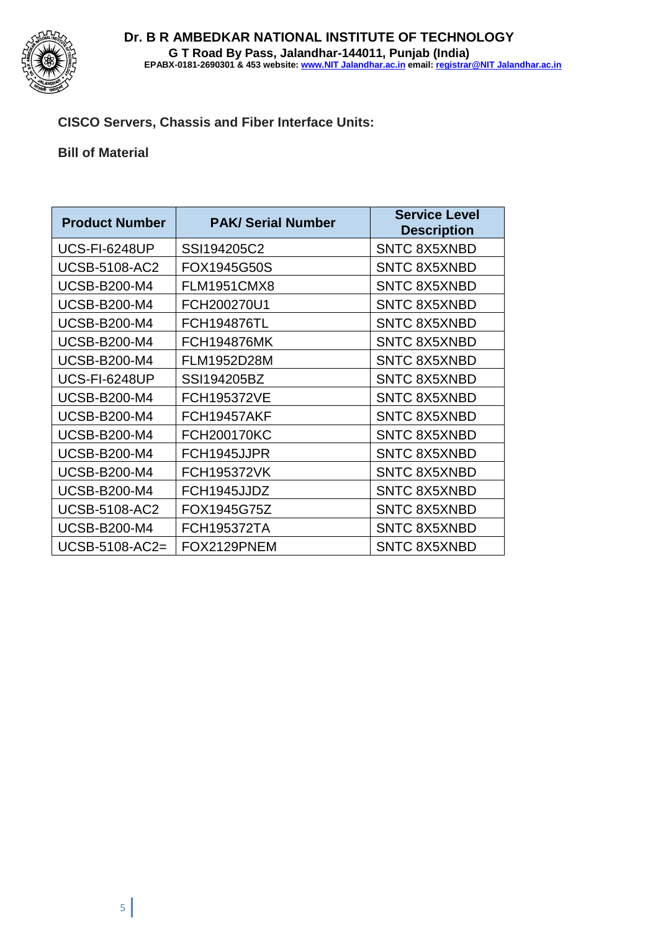

## **CISCO Servers, Chassis and Fiber Interface Units:**

#### **Bill of Material**

| <b>Product Number</b> | <b>PAK/ Serial Number</b> | <b>Service Level</b><br><b>Description</b> |
|-----------------------|---------------------------|--------------------------------------------|
| <b>UCS-FI-6248UP</b>  | SSI194205C2               | <b>SNTC 8X5XNBD</b>                        |
| <b>UCSB-5108-AC2</b>  | FOX1945G50S               | <b>SNTC 8X5XNBD</b>                        |
| <b>UCSB-B200-M4</b>   | <b>FLM1951CMX8</b>        | <b>SNTC 8X5XNBD</b>                        |
| <b>UCSB-B200-M4</b>   | FCH200270U1               | <b>SNTC 8X5XNBD</b>                        |
| <b>UCSB-B200-M4</b>   | <b>FCH194876TL</b>        | <b>SNTC 8X5XNBD</b>                        |
| <b>UCSB-B200-M4</b>   | <b>FCH194876MK</b>        | <b>SNTC 8X5XNBD</b>                        |
| <b>UCSB-B200-M4</b>   | FLM1952D28M               | <b>SNTC 8X5XNBD</b>                        |
| <b>UCS-FI-6248UP</b>  | SSI194205BZ               | <b>SNTC 8X5XNBD</b>                        |
| <b>UCSB-B200-M4</b>   | <b>FCH195372VE</b>        | <b>SNTC 8X5XNBD</b>                        |
| <b>UCSB-B200-M4</b>   | FCH19457AKF               | <b>SNTC 8X5XNBD</b>                        |
| <b>UCSB-B200-M4</b>   | <b>FCH200170KC</b>        | <b>SNTC 8X5XNBD</b>                        |
| <b>UCSB-B200-M4</b>   | FCH1945JJPR               | <b>SNTC 8X5XNBD</b>                        |
| <b>UCSB-B200-M4</b>   | <b>FCH195372VK</b>        | <b>SNTC 8X5XNBD</b>                        |
| <b>UCSB-B200-M4</b>   | FCH1945JJDZ               | <b>SNTC 8X5XNBD</b>                        |
| <b>UCSB-5108-AC2</b>  | FOX1945G75Z               | <b>SNTC 8X5XNBD</b>                        |
| <b>UCSB-B200-M4</b>   | <b>FCH195372TA</b>        | <b>SNTC 8X5XNBD</b>                        |
| UCSB-5108-AC2=        | FOX2129PNEM               | <b>SNTC 8X5XNBD</b>                        |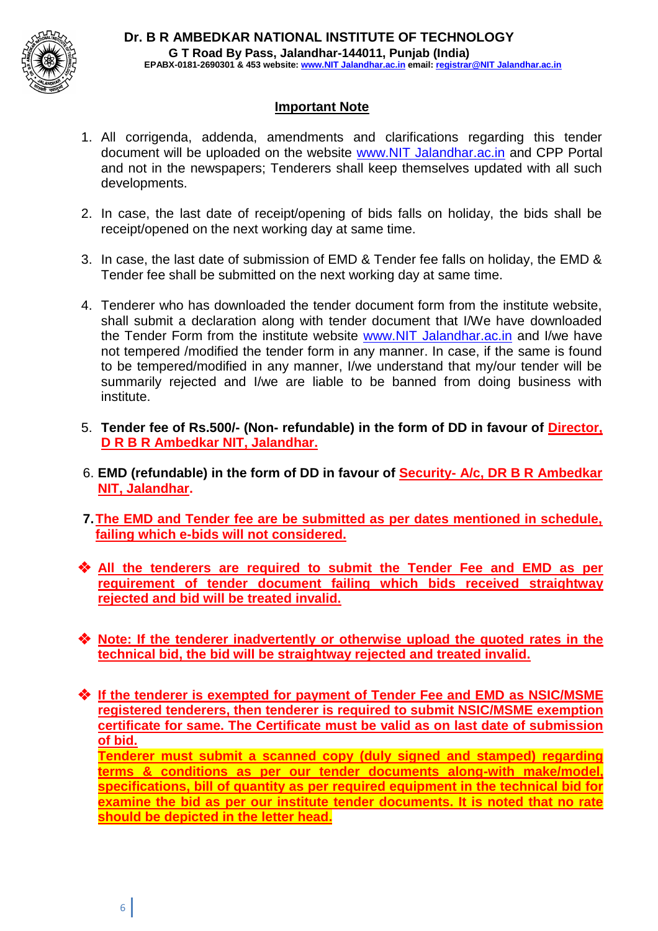

#### **Important Note**

- 1. All corrigenda, addenda, amendments and clarifications regarding this tender document will be uploaded on the website www.NIT Jalandhar.ac.in and CPP Portal and not in the newspapers; Tenderers shall keep themselves updated with all such developments.
- 2. In case, the last date of receipt/opening of bids falls on holiday, the bids shall be receipt/opened on the next working day at same time.
- 3. In case, the last date of submission of EMD & Tender fee falls on holiday, the EMD & Tender fee shall be submitted on the next working day at same time.
- 4. Tenderer who has downloaded the tender document form from the institute website, shall submit a declaration along with tender document that I/We have downloaded the Tender Form from the institute website www.NIT Jalandhar.ac.in and I/we have not tempered /modified the tender form in any manner. In case, if the same is found to be tempered/modified in any manner, I/we understand that my/our tender will be summarily rejected and I/we are liable to be banned from doing business with institute.
- 5. **Tender fee of Rs.500/- (Non- refundable) in the form of DD in favour of Director, D R B R Ambedkar NIT, Jalandhar.**
- 6. **EMD (refundable) in the form of DD in favour of Security- A/c, DR B R Ambedkar NIT, Jalandhar.**
- **7.The EMD and Tender fee are be submitted as per dates mentioned in schedule, failing which e-bids will not considered.**
- ❖ **All the tenderers are required to submit the Tender Fee and EMD as per requirement of tender document failing which bids received straightway rejected and bid will be treated invalid.**
- ❖ **Note: If the tenderer inadvertently or otherwise upload the quoted rates in the technical bid, the bid will be straightway rejected and treated invalid.**
- ❖ **If the tenderer is exempted for payment of Tender Fee and EMD as NSIC/MSME registered tenderers, then tenderer is required to submit NSIC/MSME exemption certificate for same. The Certificate must be valid as on last date of submission of bid.**

**Tenderer must submit a scanned copy (duly signed and stamped) regarding terms & conditions as per our tender documents along-with make/model, specifications, bill of quantity as per required equipment in the technical bid for examine the bid as per our institute tender documents. It is noted that no rate should be depicted in the letter head.**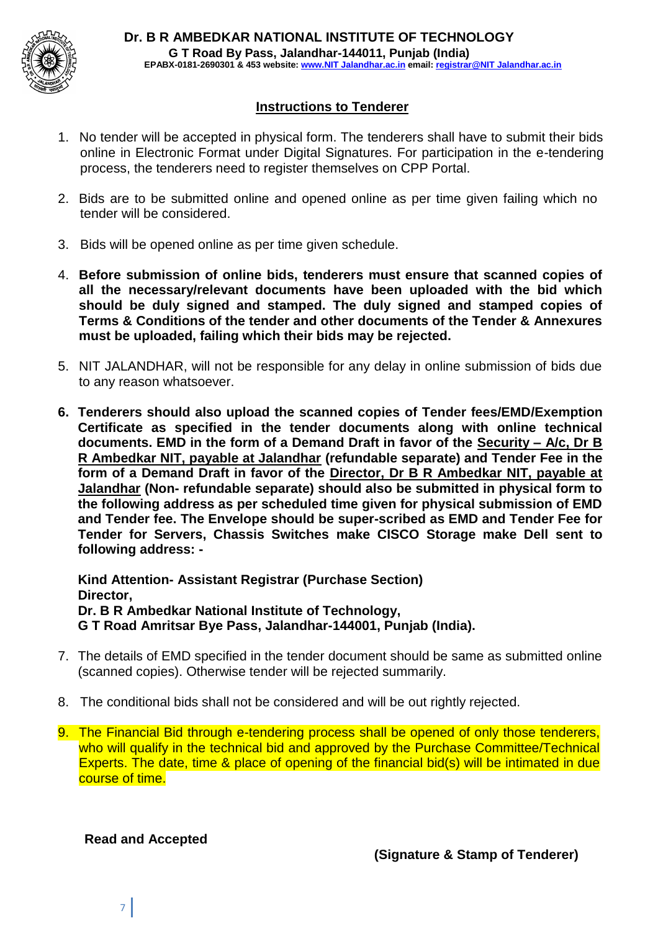

#### **Instructions to Tenderer**

- 1. No tender will be accepted in physical form. The tenderers shall have to submit their bids online in Electronic Format under Digital Signatures. For participation in the e-tendering process, the tenderers need to register themselves on CPP Portal.
- 2. Bids are to be submitted online and opened online as per time given failing which no tender will be considered.
- 3. Bids will be opened online as per time given schedule.
- 4. **Before submission of online bids, tenderers must ensure that scanned copies of all the necessary/relevant documents have been uploaded with the bid which should be duly signed and stamped. The duly signed and stamped copies of Terms & Conditions of the tender and other documents of the Tender & Annexures must be uploaded, failing which their bids may be rejected.**
- 5. NIT JALANDHAR, will not be responsible for any delay in online submission of bids due to any reason whatsoever.
- **6. Tenderers should also upload the scanned copies of Tender fees/EMD/Exemption Certificate as specified in the tender documents along with online technical documents. EMD in the form of a Demand Draft in favor of the Security – A/c, Dr B R Ambedkar NIT, payable at Jalandhar (refundable separate) and Tender Fee in the form of a Demand Draft in favor of the Director, Dr B R Ambedkar NIT, payable at Jalandhar (Non- refundable separate) should also be submitted in physical form to the following address as per scheduled time given for physical submission of EMD and Tender fee. The Envelope should be super-scribed as EMD and Tender Fee for Tender for Servers, Chassis Switches make CISCO Storage make Dell sent to following address: -**

**Kind Attention- Assistant Registrar (Purchase Section) Director, Dr. B R Ambedkar National Institute of Technology, G T Road Amritsar Bye Pass, Jalandhar-144001, Punjab (India).**

- 7. The details of EMD specified in the tender document should be same as submitted online (scanned copies). Otherwise tender will be rejected summarily.
- 8. The conditional bids shall not be considered and will be out rightly rejected.
- 9. The Financial Bid through e-tendering process shall be opened of only those tenderers, who will qualify in the technical bid and approved by the Purchase Committee/Technical Experts. The date, time & place of opening of the financial bid(s) will be intimated in due course of time.

**Read and Accepted**

7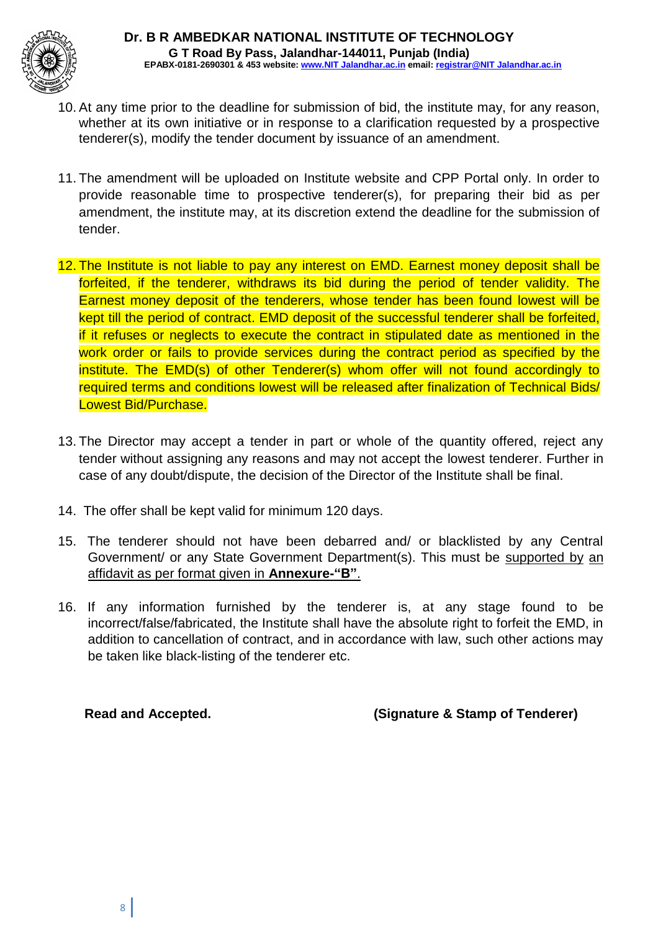

- 10. At any time prior to the deadline for submission of bid, the institute may, for any reason, whether at its own initiative or in response to a clarification requested by a prospective tenderer(s), modify the tender document by issuance of an amendment.
- 11. The amendment will be uploaded on Institute website and CPP Portal only. In order to provide reasonable time to prospective tenderer(s), for preparing their bid as per amendment, the institute may, at its discretion extend the deadline for the submission of tender.
- 12. The Institute is not liable to pay any interest on EMD. Earnest money deposit shall be forfeited, if the tenderer, withdraws its bid during the period of tender validity. The Earnest money deposit of the tenderers, whose tender has been found lowest will be kept till the period of contract. EMD deposit of the successful tenderer shall be forfeited, if it refuses or neglects to execute the contract in stipulated date as mentioned in the work order or fails to provide services during the contract period as specified by the institute. The EMD(s) of other Tenderer(s) whom offer will not found accordingly to required terms and conditions lowest will be released after finalization of Technical Bids/ Lowest Bid/Purchase.
- 13. The Director may accept a tender in part or whole of the quantity offered, reject any tender without assigning any reasons and may not accept the lowest tenderer. Further in case of any doubt/dispute, the decision of the Director of the Institute shall be final.
- 14. The offer shall be kept valid for minimum 120 days.
- 15. The tenderer should not have been debarred and/ or blacklisted by any Central Government/ or any State Government Department(s). This must be supported by an affidavit as per format given in **Annexure-"B"**.
- 16. If any information furnished by the tenderer is, at any stage found to be incorrect/false/fabricated, the Institute shall have the absolute right to forfeit the EMD, in addition to cancellation of contract, and in accordance with law, such other actions may be taken like black-listing of the tenderer etc.

**Read and Accepted. (Signature & Stamp of Tenderer)**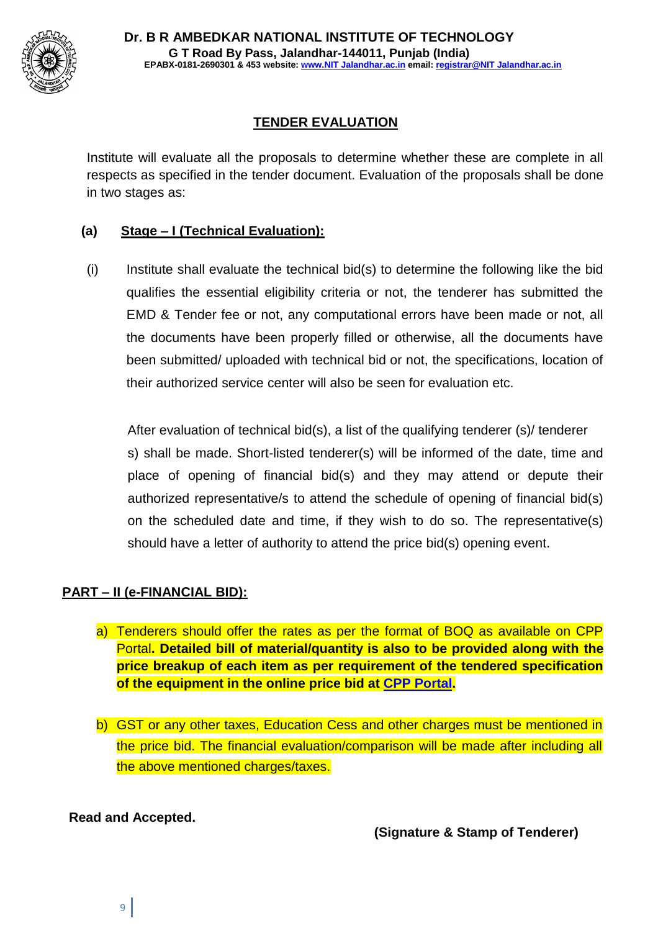

# **TENDER EVALUATION**

Institute will evaluate all the proposals to determine whether these are complete in all respects as specified in the tender document. Evaluation of the proposals shall be done in two stages as:

## **(a) Stage – I (Technical Evaluation):**

(i) Institute shall evaluate the technical bid(s) to determine the following like the bid qualifies the essential eligibility criteria or not, the tenderer has submitted the EMD & Tender fee or not, any computational errors have been made or not, all the documents have been properly filled or otherwise, all the documents have been submitted/ uploaded with technical bid or not, the specifications, location of their authorized service center will also be seen for evaluation etc.

After evaluation of technical bid(s), a list of the qualifying tenderer (s)/ tenderer s) shall be made. Short-listed tenderer(s) will be informed of the date, time and place of opening of financial bid(s) and they may attend or depute their authorized representative/s to attend the schedule of opening of financial bid(s) on the scheduled date and time, if they wish to do so. The representative(s) should have a letter of authority to attend the price bid(s) opening event.

# **PART – II (e-FINANCIAL BID):**

- a) Tenderers should offer the rates as per the format of BOQ as available on CPP Portal**. Detailed bill of material/quantity is also to be provided along with the price breakup of each item as per requirement of the tendered specification of the equipment in the online price bid at CPP Portal.**
- b) GST or any other taxes, Education Cess and other charges must be mentioned in the price bid. The financial evaluation/comparison will be made after including all the above mentioned charges/taxes.

# **Read and Accepted.**

**(Signature & Stamp of Tenderer)**

9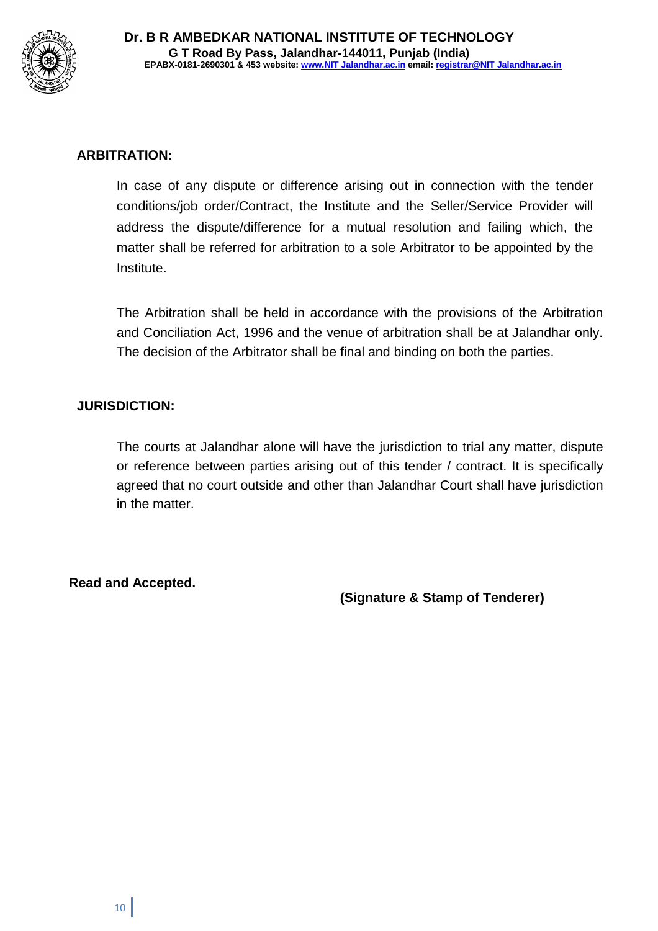

## **ARBITRATION:**

In case of any dispute or difference arising out in connection with the tender conditions/job order/Contract, the Institute and the Seller/Service Provider will address the dispute/difference for a mutual resolution and failing which, the matter shall be referred for arbitration to a sole Arbitrator to be appointed by the Institute.

The Arbitration shall be held in accordance with the provisions of the Arbitration and Conciliation Act, 1996 and the venue of arbitration shall be at Jalandhar only. The decision of the Arbitrator shall be final and binding on both the parties.

## **JURISDICTION:**

The courts at Jalandhar alone will have the jurisdiction to trial any matter, dispute or reference between parties arising out of this tender / contract. It is specifically agreed that no court outside and other than Jalandhar Court shall have jurisdiction in the matter.

**Read and Accepted.**

**(Signature & Stamp of Tenderer)**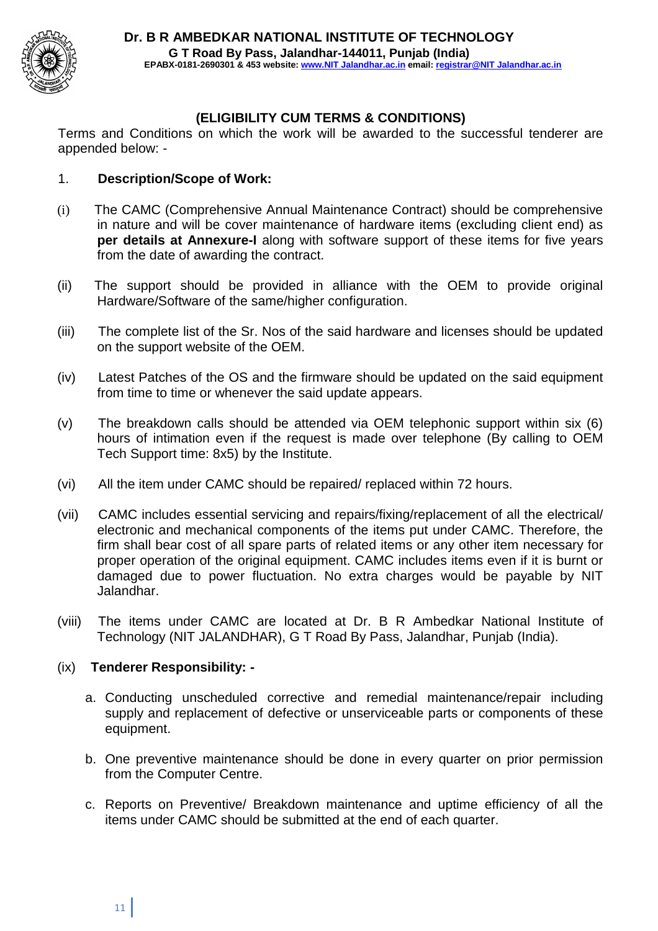

## **(ELIGIBILITY CUM TERMS & CONDITIONS)**

Terms and Conditions on which the work will be awarded to the successful tenderer are appended below: -

#### 1. **Description/Scope of Work:**

- (i) The CAMC (Comprehensive Annual Maintenance Contract) should be comprehensive in nature and will be cover maintenance of hardware items (excluding client end) as **per details at Annexure-I** along with software support of these items for five years from the date of awarding the contract.
- (ii) The support should be provided in alliance with the OEM to provide original Hardware/Software of the same/higher configuration.
- (iii) The complete list of the Sr. Nos of the said hardware and licenses should be updated on the support website of the OEM.
- (iv) Latest Patches of the OS and the firmware should be updated on the said equipment from time to time or whenever the said update appears.
- (v) The breakdown calls should be attended via OEM telephonic support within six (6) hours of intimation even if the request is made over telephone (By calling to OEM Tech Support time: 8x5) by the Institute.
- (vi) All the item under CAMC should be repaired/ replaced within 72 hours.
- (vii) CAMC includes essential servicing and repairs/fixing/replacement of all the electrical/ electronic and mechanical components of the items put under CAMC. Therefore, the firm shall bear cost of all spare parts of related items or any other item necessary for proper operation of the original equipment. CAMC includes items even if it is burnt or damaged due to power fluctuation. No extra charges would be payable by NIT Jalandhar.
- (viii) The items under CAMC are located at Dr. B R Ambedkar National Institute of Technology (NIT JALANDHAR), G T Road By Pass, Jalandhar, Punjab (India).

#### (ix) **Tenderer Responsibility: -**

- a. Conducting unscheduled corrective and remedial maintenance/repair including supply and replacement of defective or unserviceable parts or components of these equipment.
- b. One preventive maintenance should be done in every quarter on prior permission from the Computer Centre.
- c. Reports on Preventive/ Breakdown maintenance and uptime efficiency of all the items under CAMC should be submitted at the end of each quarter.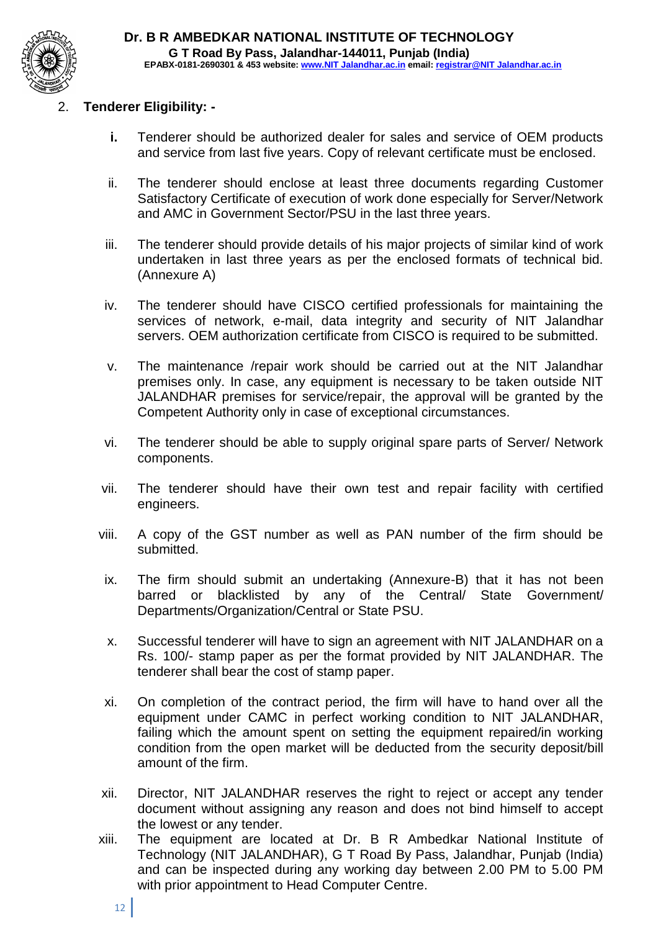

## 2. **Tenderer Eligibility: -**

- **i.** Tenderer should be authorized dealer for sales and service of OEM products and service from last five years. Copy of relevant certificate must be enclosed.
- ii. The tenderer should enclose at least three documents regarding Customer Satisfactory Certificate of execution of work done especially for Server/Network and AMC in Government Sector/PSU in the last three years.
- iii. The tenderer should provide details of his major projects of similar kind of work undertaken in last three years as per the enclosed formats of technical bid. (Annexure A)
- iv. The tenderer should have CISCO certified professionals for maintaining the services of network, e-mail, data integrity and security of NIT Jalandhar servers. OEM authorization certificate from CISCO is required to be submitted.
- v. The maintenance /repair work should be carried out at the NIT Jalandhar premises only. In case, any equipment is necessary to be taken outside NIT JALANDHAR premises for service/repair, the approval will be granted by the Competent Authority only in case of exceptional circumstances.
- vi. The tenderer should be able to supply original spare parts of Server/ Network components.
- vii. The tenderer should have their own test and repair facility with certified engineers.
- viii. A copy of the GST number as well as PAN number of the firm should be submitted.
- ix. The firm should submit an undertaking (Annexure-B) that it has not been barred or blacklisted by any of the Central/ State Government/ Departments/Organization/Central or State PSU.
- x. Successful tenderer will have to sign an agreement with NIT JALANDHAR on a Rs. 100/- stamp paper as per the format provided by NIT JALANDHAR. The tenderer shall bear the cost of stamp paper.
- xi. On completion of the contract period, the firm will have to hand over all the equipment under CAMC in perfect working condition to NIT JALANDHAR, failing which the amount spent on setting the equipment repaired/in working condition from the open market will be deducted from the security deposit/bill amount of the firm.
- xii. Director, NIT JALANDHAR reserves the right to reject or accept any tender document without assigning any reason and does not bind himself to accept the lowest or any tender.
- xiii. The equipment are located at Dr. B R Ambedkar National Institute of Technology (NIT JALANDHAR), G T Road By Pass, Jalandhar, Punjab (India) and can be inspected during any working day between 2.00 PM to 5.00 PM with prior appointment to Head Computer Centre.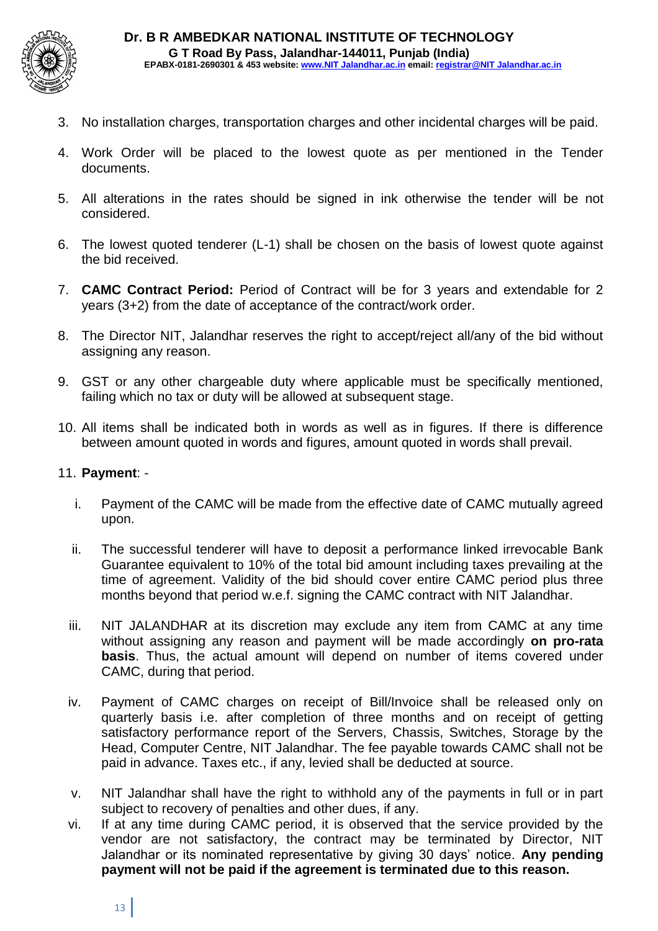

- 3. No installation charges, transportation charges and other incidental charges will be paid.
- 4. Work Order will be placed to the lowest quote as per mentioned in the Tender documents.
- 5. All alterations in the rates should be signed in ink otherwise the tender will be not considered.
- 6. The lowest quoted tenderer (L-1) shall be chosen on the basis of lowest quote against the bid received.
- 7. **CAMC Contract Period:** Period of Contract will be for 3 years and extendable for 2 years (3+2) from the date of acceptance of the contract/work order.
- 8. The Director NIT, Jalandhar reserves the right to accept/reject all/any of the bid without assigning any reason.
- 9. GST or any other chargeable duty where applicable must be specifically mentioned, failing which no tax or duty will be allowed at subsequent stage.
- 10. All items shall be indicated both in words as well as in figures. If there is difference between amount quoted in words and figures, amount quoted in words shall prevail.

#### 11. **Payment**: -

- i. Payment of the CAMC will be made from the effective date of CAMC mutually agreed upon.
- ii. The successful tenderer will have to deposit a performance linked irrevocable Bank Guarantee equivalent to 10% of the total bid amount including taxes prevailing at the time of agreement. Validity of the bid should cover entire CAMC period plus three months beyond that period w.e.f. signing the CAMC contract with NIT Jalandhar.
- iii. NIT JALANDHAR at its discretion may exclude any item from CAMC at any time without assigning any reason and payment will be made accordingly **on pro-rata basis**. Thus, the actual amount will depend on number of items covered under CAMC, during that period.
- iv. Payment of CAMC charges on receipt of Bill/Invoice shall be released only on quarterly basis i.e. after completion of three months and on receipt of getting satisfactory performance report of the Servers, Chassis, Switches, Storage by the Head, Computer Centre, NIT Jalandhar. The fee payable towards CAMC shall not be paid in advance. Taxes etc., if any, levied shall be deducted at source.
- v. NIT Jalandhar shall have the right to withhold any of the payments in full or in part subject to recovery of penalties and other dues, if any.
- vi. If at any time during CAMC period, it is observed that the service provided by the vendor are not satisfactory, the contract may be terminated by Director, NIT Jalandhar or its nominated representative by giving 30 days' notice. **Any pending payment will not be paid if the agreement is terminated due to this reason.**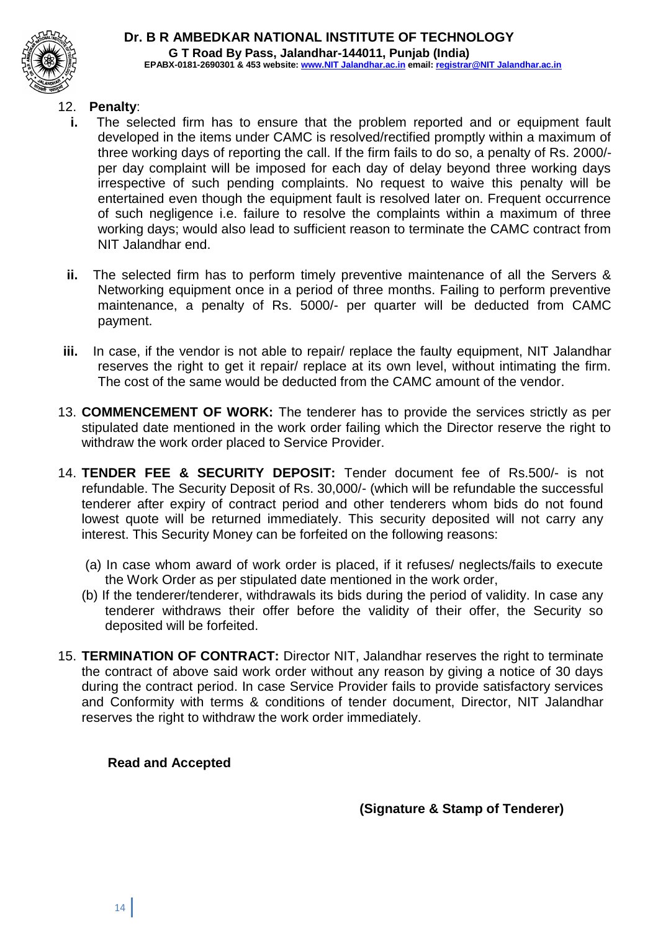

#### **Dr. B R AMBEDKAR NATIONAL INSTITUTE OF TECHNOLOGY G T Road By Pass, Jalandhar-144011, Punjab (India) EPABX-0181-2690301 & 453 website: www.NIT Jalandhar.ac.in email: registrar@NIT Jalandhar.ac.in**

#### 12. **Penalty**:

- **i.** The selected firm has to ensure that the problem reported and or equipment fault developed in the items under CAMC is resolved/rectified promptly within a maximum of three working days of reporting the call. If the firm fails to do so, a penalty of Rs. 2000/ per day complaint will be imposed for each day of delay beyond three working days irrespective of such pending complaints. No request to waive this penalty will be entertained even though the equipment fault is resolved later on. Frequent occurrence of such negligence i.e. failure to resolve the complaints within a maximum of three working days; would also lead to sufficient reason to terminate the CAMC contract from NIT Jalandhar end.
- **ii.** The selected firm has to perform timely preventive maintenance of all the Servers & Networking equipment once in a period of three months. Failing to perform preventive maintenance, a penalty of Rs. 5000/- per quarter will be deducted from CAMC payment.
- **iii.** In case, if the vendor is not able to repair/ replace the faulty equipment, NIT Jalandhar reserves the right to get it repair/ replace at its own level, without intimating the firm. The cost of the same would be deducted from the CAMC amount of the vendor.
- 13. **COMMENCEMENT OF WORK:** The tenderer has to provide the services strictly as per stipulated date mentioned in the work order failing which the Director reserve the right to withdraw the work order placed to Service Provider.
- 14. **TENDER FEE & SECURITY DEPOSIT:** Tender document fee of Rs.500/- is not refundable. The Security Deposit of Rs. 30,000/- (which will be refundable the successful tenderer after expiry of contract period and other tenderers whom bids do not found lowest quote will be returned immediately. This security deposited will not carry any interest. This Security Money can be forfeited on the following reasons:
	- (a) In case whom award of work order is placed, if it refuses/ neglects/fails to execute the Work Order as per stipulated date mentioned in the work order,
	- (b) If the tenderer/tenderer, withdrawals its bids during the period of validity. In case any tenderer withdraws their offer before the validity of their offer, the Security so deposited will be forfeited.
- 15. **TERMINATION OF CONTRACT:** Director NIT, Jalandhar reserves the right to terminate the contract of above said work order without any reason by giving a notice of 30 days during the contract period. In case Service Provider fails to provide satisfactory services and Conformity with terms & conditions of tender document, Director, NIT Jalandhar reserves the right to withdraw the work order immediately.

#### **Read and Accepted**

**(Signature & Stamp of Tenderer)**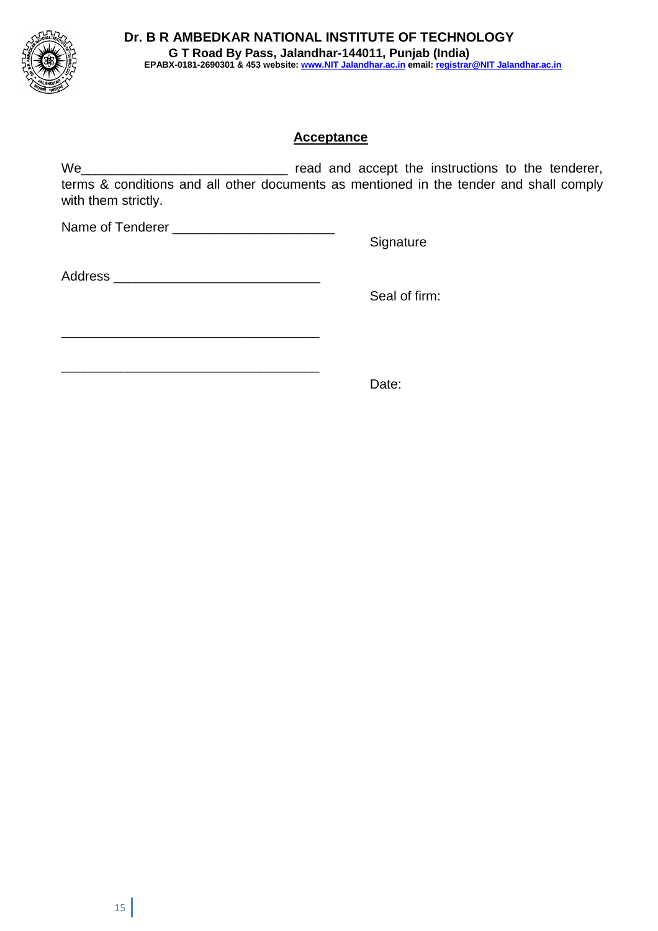

## **Acceptance**

We\_\_\_\_\_\_\_\_\_\_\_\_\_\_\_\_\_\_\_\_\_\_\_\_\_\_\_\_ read and accept the instructions to the tenderer, terms & conditions and all other documents as mentioned in the tender and shall comply with them strictly.

Name of Tenderer \_\_\_\_\_\_\_\_\_\_\_\_\_\_\_\_\_\_\_\_\_\_ **Signature** 

| <b>Address</b> |  |  |  |
|----------------|--|--|--|
|                |  |  |  |

\_\_\_\_\_\_\_\_\_\_\_\_\_\_\_\_\_\_\_\_\_\_\_\_\_\_\_\_\_\_\_\_\_\_\_

\_\_\_\_\_\_\_\_\_\_\_\_\_\_\_\_\_\_\_\_\_\_\_\_\_\_\_\_\_\_\_\_\_\_\_

Seal of firm:

Date: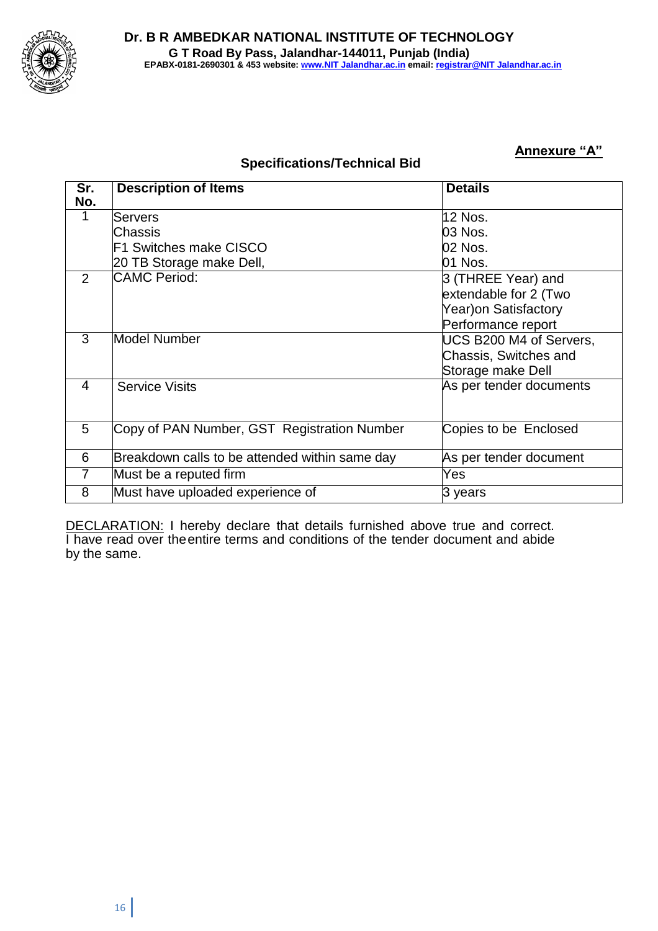

#### **Specifications/Technical Bid**

**Annexure "A"**

| Sr. | <b>Description of Items</b>                    | <b>Details</b>          |
|-----|------------------------------------------------|-------------------------|
| No. |                                                |                         |
| 1   | Servers                                        | <b>12 Nos.</b>          |
|     | lChassis                                       | 03 Nos.                 |
|     | F1 Switches make CISCO                         | 02 Nos.                 |
|     | 20 TB Storage make Dell,                       | 01 Nos.                 |
| 2   | <b>CAMC Period:</b>                            | 3 (THREE Year) and      |
|     |                                                | extendable for 2 (Two   |
|     |                                                | Year) on Satisfactory   |
|     |                                                | Performance report      |
| 3   | Model Number                                   | UCS B200 M4 of Servers, |
|     |                                                | Chassis, Switches and   |
|     |                                                | Storage make Dell       |
| 4   | <b>Service Visits</b>                          | As per tender documents |
|     |                                                |                         |
|     |                                                |                         |
| 5   | Copy of PAN Number, GST Registration Number    | Copies to be Enclosed   |
|     |                                                |                         |
| 6   | Breakdown calls to be attended within same day | As per tender document  |
| 7   | Must be a reputed firm                         | Yes                     |
| 8   | Must have uploaded experience of               | 3 years                 |

DECLARATION: I hereby declare that details furnished above true and correct. I have read over theentire terms and conditions of the tender document and abide by the same.